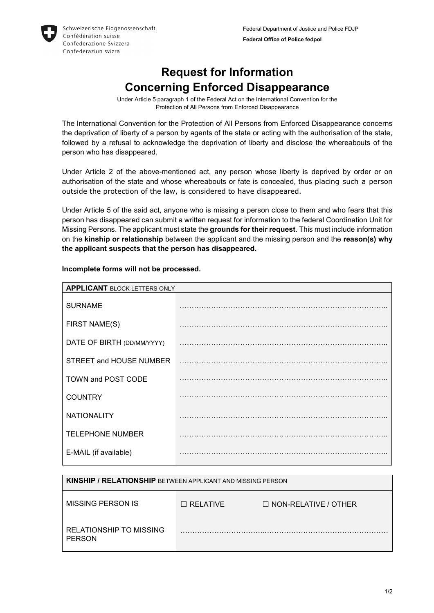## **Request for Information Concerning Enforced Disappearance**

Under Article 5 paragraph 1 of the Federal Act on the International Convention for the Protection of All Persons from Enforced Disappearance

The International Convention for the Protection of All Persons from Enforced Disappearance concerns the deprivation of liberty of a person by agents of the state or acting with the authorisation of the state, followed by a refusal to acknowledge the deprivation of liberty and disclose the whereabouts of the person who has disappeared.

Under Article 2 of the above-mentioned act, any person whose liberty is deprived by order or on authorisation of the state and whose whereabouts or fate is concealed, thus placing such a person outside the protection of the law, is considered to have disappeared.

Under Article 5 of the said act, anyone who is missing a person close to them and who fears that this person has disappeared can submit a written request for information to the federal Coordination Unit for Missing Persons. The applicant must state the **grounds for their request**. This must include information on the **kinship or relationship** between the applicant and the missing person and the **reason(s) why the applicant suspects that the person has disappeared.** 

| <b>APPLICANT BLOCK LETTERS ONLY</b> |  |  |
|-------------------------------------|--|--|
|                                     |  |  |
|                                     |  |  |
|                                     |  |  |
|                                     |  |  |
|                                     |  |  |
|                                     |  |  |
|                                     |  |  |
|                                     |  |  |
|                                     |  |  |
|                                     |  |  |

## **Incomplete forms will not be processed.**

| <b>KINSHIP / RELATIONSHIP</b> BETWEEN APPLICANT AND MISSING PERSON |                 |                             |
|--------------------------------------------------------------------|-----------------|-----------------------------|
| MISSING PERSON IS                                                  | $\Box$ RELATIVE | $\Box$ NON-RELATIVE / OTHER |
| RELATIONSHIP TO MISSING<br><b>PERSON</b>                           |                 |                             |